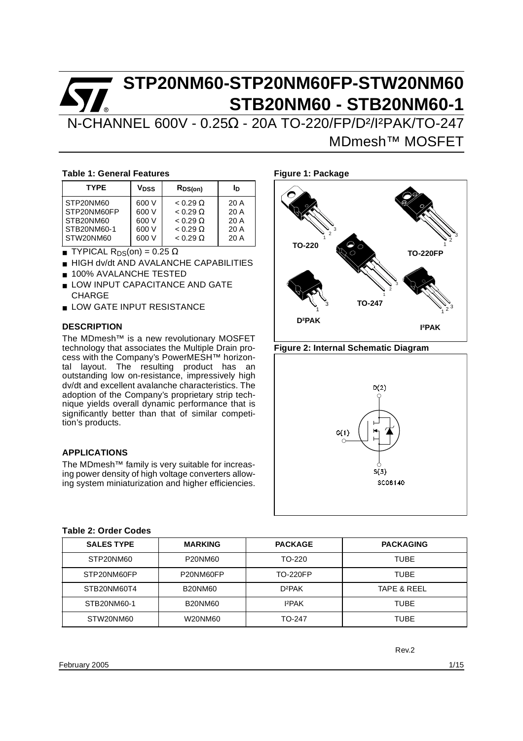N-CHANNEL 600V - 0.25Ω - 20A TO-220/FP/D²/I²PAK/TO-247 MDmesh™ MOSFET

#### **Table 1: General Features**

| <b>TYPE</b> | Vnss  | $R_{DS(on)}$    | In   |
|-------------|-------|-----------------|------|
| STP20NM60   | 600 V | $< 0.29 \Omega$ | 20A  |
| STP20NM60FP | 600 V | $< 0.29 \Omega$ | 20A  |
| STB20NM60   | 600 V | $< 0.29 \Omega$ | 20 A |
| STB20NM60-1 | 600 V | $< 0.29 \Omega$ | 20A  |
| STW20NM60   | 600 V | $< 0.29 \Omega$ | 20A  |

- $\blacksquare$  TYPICAL R<sub>DS</sub>(on) = 0.25  $\Omega$
- HIGH dv/dt AND AVALANCHE CAPABILITIES
- 100% AVALANCHE TESTED
- LOW INPUT CAPACITANCE AND GATE CHARGE
- LOW GATE INPUT RESISTANCE

#### **DESCRIPTION**

The MDmesh™ is a new revolutionary MOSFET technology that associates the Multiple Drain process with the Company's PowerMESH™ horizontal layout. The resulting product has an outstanding low on-resistance, impressively high dv/dt and excellent avalanche characteristics. The adoption of the Company's proprietary strip technique yields overall dynamic performance that is significantly better than that of similar competition's products.

#### **APPLICATIONS**

The MDmesh™ family is very suitable for increasing power density of high voltage converters allowing system miniaturization and higher efficiencies.



**Figure 2: Internal Schematic Diagram**



#### **Table 2: Order Codes**

| <b>SALES TYPE</b> | <b>MARKING</b> | <b>PACKAGE</b>     | <b>PACKAGING</b>       |
|-------------------|----------------|--------------------|------------------------|
| STP20NM60         | P20NM60        | TO-220             | <b>TUBE</b>            |
| STP20NM60FP       | P20NM60FP      | <b>TO-220FP</b>    | <b>TUBE</b>            |
| STB20NM60T4       | <b>B20NM60</b> | D <sub>2</sub> PAK | <b>TAPE &amp; REEL</b> |
| STB20NM60-1       | <b>B20NM60</b> | I <sup>2</sup> PAK | <b>TUBE</b>            |
| STW20NM60         | W20NM60        | TO-247             | TUBE                   |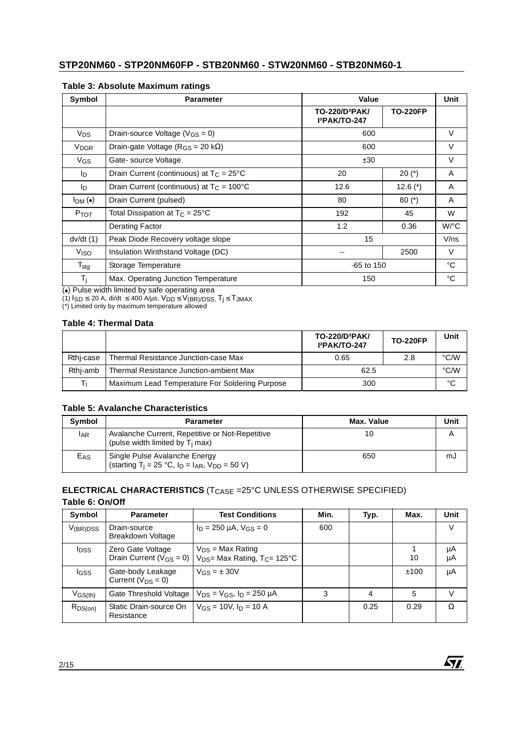| Symbol                 | <b>Parameter</b>                                    | Value                                                                             |              | Unit        |  |  |
|------------------------|-----------------------------------------------------|-----------------------------------------------------------------------------------|--------------|-------------|--|--|
|                        |                                                     | <b>TO-220FP</b><br>TO-220/D <sup>2</sup> PAK/<br><b>I</b> <sup>2</sup> PAK/TO-247 |              |             |  |  |
| V <sub>DS</sub>        | Drain-source Voltage ( $V$ <sub>GS</sub> = 0)       | 600                                                                               |              | V           |  |  |
| <b>V<sub>DGR</sub></b> | Drain-gate Voltage ( $R_{GS}$ = 20 k $\Omega$ )     | 600                                                                               |              | V           |  |  |
| VGS                    | Gate-source Voltage                                 | ±30                                                                               |              |             |  |  |
| lD.                    | Drain Current (continuous) at $T_C = 25^{\circ}C$   | 20                                                                                | $20 (*)$     | A           |  |  |
| In.                    | Drain Current (continuous) at $T_c = 100^{\circ}$ C | 12.6                                                                              | 12.6 $(*)$   | A           |  |  |
| I <sub>DM</sub> (•)    | Drain Current (pulsed)                              | 80                                                                                | $80 (*)$     | A           |  |  |
| Ртот                   | Total Dissipation at $T_C = 25^{\circ}C$            | 192                                                                               | 45           | W           |  |  |
|                        | <b>Derating Factor</b>                              | 1.2                                                                               | 0.36         | $W$ /°C     |  |  |
| dv/dt(1)               | Peak Diode Recovery voltage slope                   | 15                                                                                |              | V/ns        |  |  |
| V <sub>ISO</sub>       | Insulation Winthstand Voltage (DC)                  | --                                                                                | 2500         |             |  |  |
| $T_{\text{stg}}$       | Storage Temperature                                 |                                                                                   | $-65$ to 150 |             |  |  |
| T <sub>i</sub>         | Max. Operating Junction Temperature                 | 150                                                                               |              | $^{\circ}C$ |  |  |

#### **Table 3: Absolute Maximum ratings**

(●) Pulse width limited by safe operating area<br>(1) I<sub>SD</sub> ≤ 20 A, di/dt ≤ 400 A/µs, V<sub>DD</sub> ≤ V<sub>(BR)/DSS,</sub> T<sub>j</sub> ≤ T<sub>JMAX</sub><br>(\*) Limited only by maximum temperature allowed

#### **Table 4: Thermal Data**

|           |                                                | TO-220/D <sup>2</sup> PAK/<br><b>I</b> <sup>2</sup> PAK/TO-247 | <b>TO-220FP</b> | Unit          |
|-----------|------------------------------------------------|----------------------------------------------------------------|-----------------|---------------|
| Rthi-case | Thermal Resistance Junction-case Max           | 0.65                                                           | 2.8             | $\degree$ C/W |
| Rthi-amb  | Thermal Resistance Junction-ambient Max        | 62.5                                                           | $\degree$ C/W   |               |
|           | Maximum Lead Temperature For Soldering Purpose | 300                                                            |                 | °C            |

#### **Table 5: Avalanche Characteristics**

| <b>Symbol</b> | <b>Parameter</b>                                                                                       | Max. Value | Unit |
|---------------|--------------------------------------------------------------------------------------------------------|------------|------|
| <b>IAR</b>    | Avalanche Current, Repetitive or Not-Repetitive<br>(pulse width limited by T <sub>i</sub> max)         | 10         |      |
| $E_{AS}$      | Single Pulse Avalanche Energy<br>(starting T <sub>i</sub> = 25 °C, $I_D$ = $I_{AR}$ , $V_{DD}$ = 50 V) | 650        | mJ   |

#### **ELECTRICAL CHARACTERISTICS** (T<sub>CASE</sub> =25°C UNLESS OTHERWISE SPECIFIED) **Table 6: On/Off**

| Symbol                  | <b>Parameter</b>                                    | <b>Test Conditions</b>                                                | Min. | Typ. | Max. | Unit     |
|-------------------------|-----------------------------------------------------|-----------------------------------------------------------------------|------|------|------|----------|
| $V_{(BR)DSS}$           | Drain-source<br>Breakdown Voltage                   | $I_D = 250 \mu A$ , $V_{GS} = 0$                                      | 600  |      |      | V        |
| <b>I</b> <sub>DSS</sub> | Zero Gate Voltage<br>Drain Current ( $V_{GS} = 0$ ) | $V_{DS}$ = Max Rating<br>$V_{DS}$ Max Rating, T <sub>C</sub> = 125 °C |      |      | 10   | μA<br>μA |
| <b>I</b> GSS            | Gate-body Leakage<br>Current ( $V_{DS} = 0$ )       | $V$ <sub>GS</sub> = $\pm$ 30V                                         |      |      | ±100 | μA       |
| $V$ <sub>GS(th)</sub>   | Gate Threshold Voltage                              | $V_{DS} = V_{GS}$ , $I_D = 250 \mu A$                                 | 3    | 4    | 5    | V        |
| $R_{DS(on)}$            | Static Drain-source On<br>Resistance                | $V_{GS}$ = 10V, $I_D$ = 10 A                                          |      | 0.25 | 0.29 | Ω        |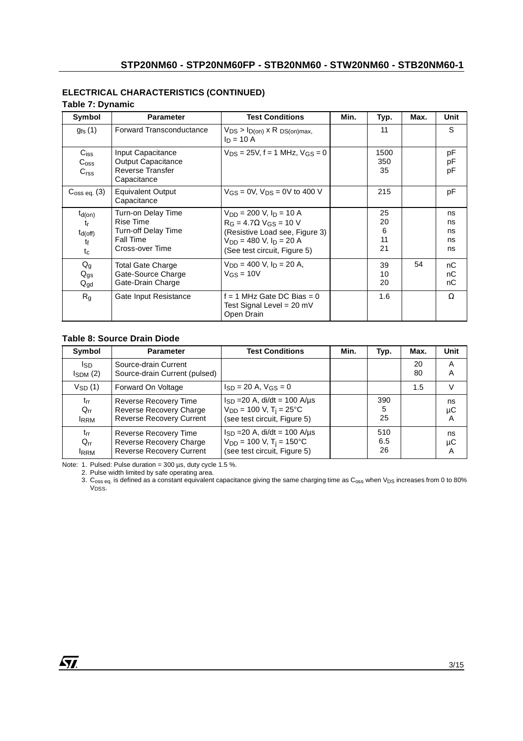# **ELECTRICAL CHARACTERISTICS (CONTINUED)**

#### **Table 7: Dynamic**

| Symbol                                                       | <b>Parameter</b>                                                                       | <b>Test Conditions</b>                                                                                                                                                          | Min. | Typ.                      | Max. | Unit                       |
|--------------------------------------------------------------|----------------------------------------------------------------------------------------|---------------------------------------------------------------------------------------------------------------------------------------------------------------------------------|------|---------------------------|------|----------------------------|
| $g_{\text{fs}}(1)$                                           | Forward Transconductance                                                               | $V_{DS}$ > $I_{D(on)}$ x R $DS(on)$ max,<br>$I_D = 10 A$                                                                                                                        |      | 11                        |      | S                          |
| C <sub>iss</sub><br>$C_{\text{OSS}}$<br>C <sub>rss</sub>     | Input Capacitance<br><b>Output Capacitance</b><br>Reverse Transfer<br>Capacitance      | $V_{DS} = 25V$ , f = 1 MHz, $V_{GS} = 0$                                                                                                                                        |      | 1500<br>350<br>35         |      | рF<br>рF<br>рF             |
| $C_{\text{OSS eq.}}(3)$                                      | <b>Equivalent Output</b><br>Capacitance                                                | $V_{GS} = 0V$ , $V_{DS} = 0V$ to 400 V                                                                                                                                          |      | 215                       |      | рF                         |
| $t_{d(on)}$<br>tr<br>$t_{d(off)}$<br>t <sub>f</sub><br>$t_c$ | Turn-on Delay Time<br>Rise Time<br>Turn-off Delay Time<br>Fall Time<br>Cross-over Time | $V_{DD} = 200$ V, $I_D = 10$ A<br>$R_G = 4.7 \Omega$ V <sub>GS</sub> = 10 V<br>(Resistive Load see, Figure 3)<br>$V_{DD} = 480$ V, $I_D = 20$ A<br>(See test circuit, Figure 5) |      | 25<br>20<br>6<br>11<br>21 |      | ns<br>ns<br>ns<br>ns<br>ns |
| $Q_g$<br>$Q_{gs}$<br>$Q_{gd}$                                | <b>Total Gate Charge</b><br>Gate-Source Charge<br>Gate-Drain Charge                    | $V_{DD} = 400$ V, $I_D = 20$ A,<br>$V$ <sub>GS</sub> = 10V                                                                                                                      |      | 39<br>10<br>20            | 54   | nC<br>nC<br>nC             |
| $R_{q}$                                                      | Gate Input Resistance                                                                  | $f = 1$ MHz Gate DC Bias = 0<br>Test Signal Level = 20 mV<br>Open Drain                                                                                                         |      | 1.6                       |      | Ω                          |

#### **Table 8: Source Drain Diode**

| Symbol                              | <b>Parameter</b>                                                                    | <b>Test Conditions</b>                                                                                        | Min. | Typ.             | Max.     | Unit          |
|-------------------------------------|-------------------------------------------------------------------------------------|---------------------------------------------------------------------------------------------------------------|------|------------------|----------|---------------|
| Isp<br>$I_{SDM}$ (2)                | Source-drain Current<br>Source-drain Current (pulsed)                               |                                                                                                               |      |                  | 20<br>80 | A<br>A        |
| $V_{SD}(1)$                         | Forward On Voltage                                                                  | $I_{SD} = 20$ A, $V_{GS} = 0$                                                                                 |      |                  | 1.5      | $\vee$        |
| $t_{rr}$<br>$Q_{rr}$<br><b>IRRM</b> | Reverse Recovery Time<br>Reverse Recovery Charge<br><b>Reverse Recovery Current</b> | $I_{SD} = 20$ A, di/dt = 100 A/µs<br>$V_{DD} = 100 V$ , T <sub>i</sub> = 25°C<br>(see test circuit, Figure 5) |      | 390<br>5<br>25   |          | ns<br>μC<br>A |
| $t_{rr}$<br>$Q_{rr}$<br><b>IRRM</b> | Reverse Recovery Time<br>Reverse Recovery Charge<br><b>Reverse Recovery Current</b> | $I_{SD} = 20$ A, di/dt = 100 A/us<br>$V_{DD}$ = 100 V, T <sub>i</sub> = 150°C<br>(see test circuit, Figure 5) |      | 510<br>6.5<br>26 |          | ns<br>μC<br>Α |

Note: 1. Pulsed: Pulse duration = 300 µs, duty cycle 1.5 %.

2. Pulse width limited by safe operating area.

<sup>3.</sup>  $\rm{C_{oss}}$ eq. is defined as a constant equivalent capacitance giving the same charging time as  $\rm{C_{oss}}$  when  $\rm{V_{DS}}$  increases from 0 to 80% V<sub>DSS</sub>.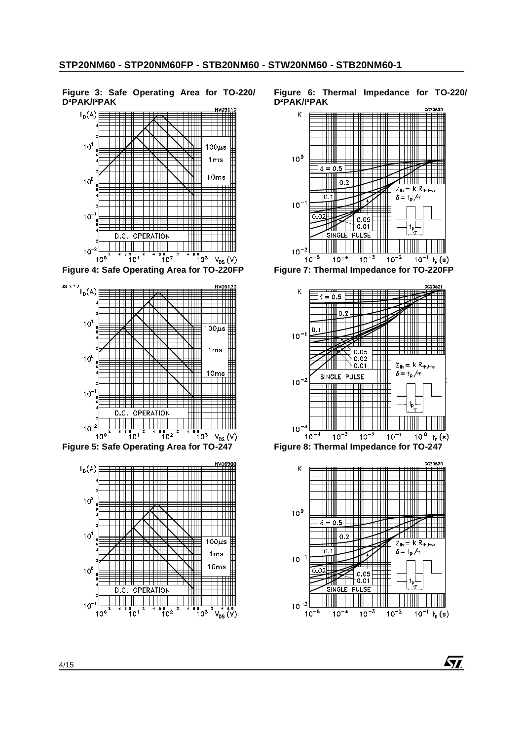**Figure 3: Safe Operating Area for TO-220/ D²PAK/I²PAK**



**Figure 4: Safe Operating Area for TO-220FP**



**Figure 5: Safe Operating Area for TO-247**



**Figure 6: Thermal Impedance for TO-220/ D²PAK/I²PAK**











57.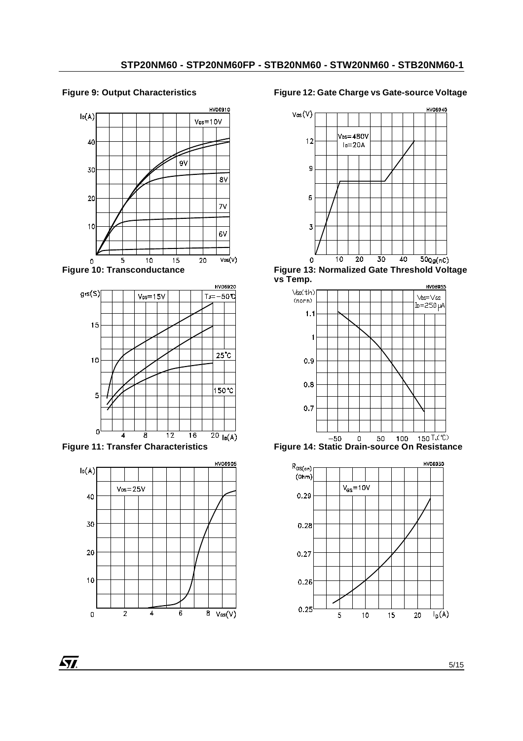### **Figure 9: Output Characteristics**



**Figure 10: Transconductance**



**Figure 11: Transfer Characteristics**



**Figure 12: Gate Charge vs Gate-source Voltage**



**Figure 13: Normalized Gate Threshold Voltage vs Temp.**





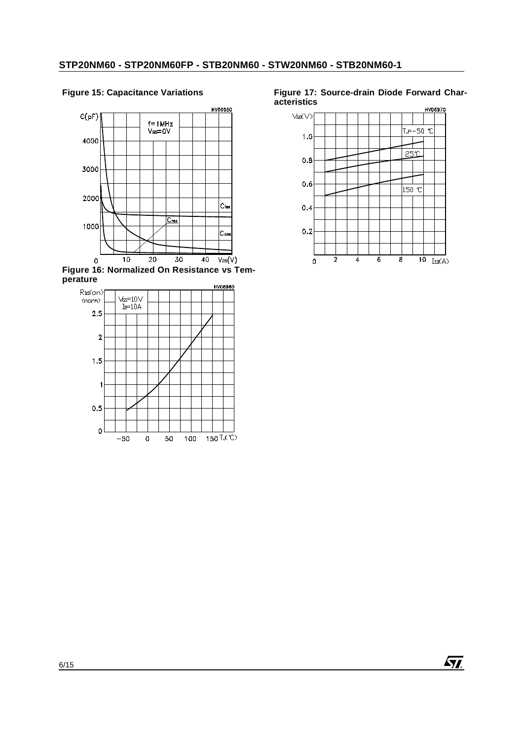HV06950  $C(pF)$  $f = 1 MHz$  $V_{GS} = 0V$ 4000 3000 2000  $|_{\mathsf{Ciss}}$  $\overline{C_{\textbf{rss}}}$ 1000 lc.,  $\overline{20}$  $\overline{10}$  $\overline{30}$  $40$  $\overline{V_{DS}(V)}$  $\Omega$ 







**Figure 17: Source-drain Diode Forward Characteristics**

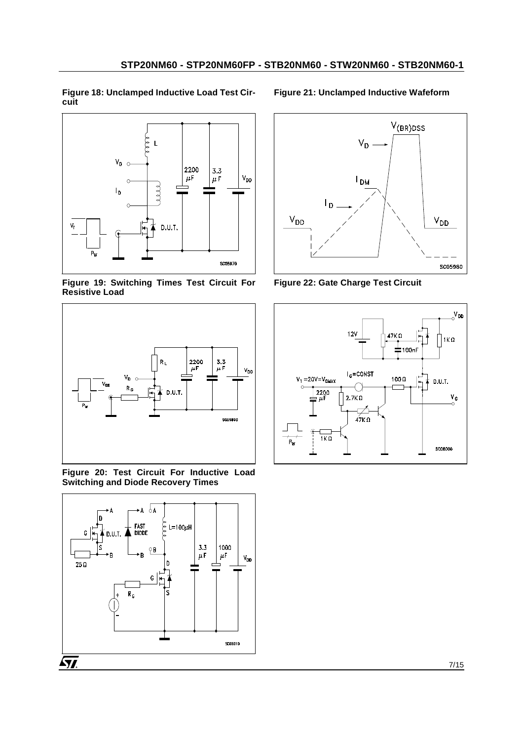**Figure 18: Unclamped Inductive Load Test Circuit** 



**Figure 19: Switching Times Test Circuit For Resistive Load** 



**Figure 20: Test Circuit For Inductive Load Switching and Diode Recovery Times** 



#### **Figure 21: Unclamped Inductive Wafeform**



**Figure 22: Gate Charge Test Circuit** 

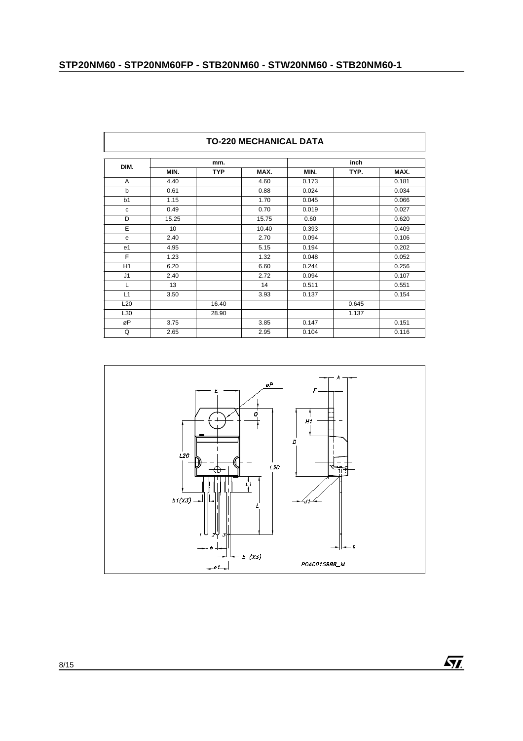|                 | <b>TO-220 MECHANICAL DATA</b> |            |       |       |       |       |  |  |  |  |
|-----------------|-------------------------------|------------|-------|-------|-------|-------|--|--|--|--|
|                 |                               | mm.        |       |       |       |       |  |  |  |  |
| DIM.            | MIN.                          | <b>TYP</b> | MAX.  | MIN.  | TYP.  | MAX.  |  |  |  |  |
| $\mathsf{A}$    | 4.40                          |            | 4.60  | 0.173 |       | 0.181 |  |  |  |  |
| b               | 0.61                          |            | 0.88  | 0.024 |       | 0.034 |  |  |  |  |
| b1              | 1.15                          |            | 1.70  | 0.045 |       | 0.066 |  |  |  |  |
| $\mathbf c$     | 0.49                          |            | 0.70  | 0.019 |       | 0.027 |  |  |  |  |
| D               | 15.25                         |            | 15.75 | 0.60  |       | 0.620 |  |  |  |  |
| E               | 10                            |            | 10.40 | 0.393 |       | 0.409 |  |  |  |  |
| e               | 2.40                          |            | 2.70  | 0.094 |       | 0.106 |  |  |  |  |
| e <sub>1</sub>  | 4.95                          |            | 5.15  | 0.194 |       | 0.202 |  |  |  |  |
| F               | 1.23                          |            | 1.32  | 0.048 |       | 0.052 |  |  |  |  |
| H1              | 6.20                          |            | 6.60  | 0.244 |       | 0.256 |  |  |  |  |
| J1              | 2.40                          |            | 2.72  | 0.094 |       | 0.107 |  |  |  |  |
| L               | 13                            |            | 14    | 0.511 |       | 0.551 |  |  |  |  |
| L1              | 3.50                          |            | 3.93  | 0.137 |       | 0.154 |  |  |  |  |
| L <sub>20</sub> |                               | 16.40      |       |       | 0.645 |       |  |  |  |  |
| L30             |                               | 28.90      |       |       | 1.137 |       |  |  |  |  |
| øP              | 3.75                          |            | 3.85  | 0.147 |       | 0.151 |  |  |  |  |
| Q               | 2.65                          |            | 2.95  | 0.104 |       | 0.116 |  |  |  |  |





٦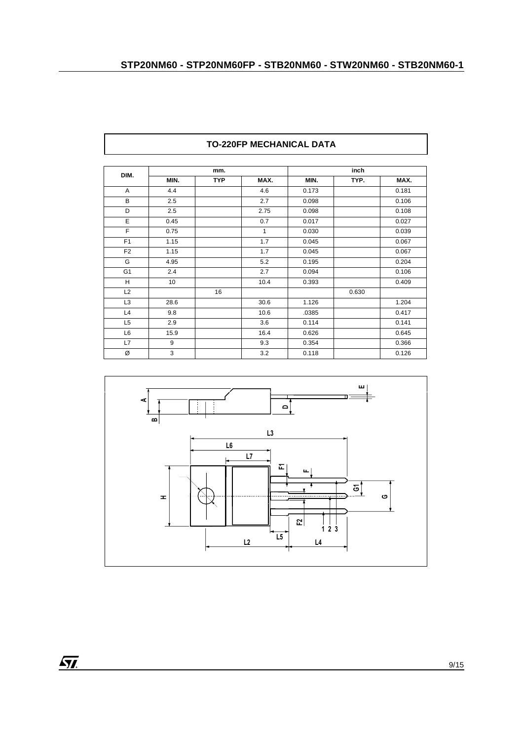|                |      | mm.        |              |       | inch  |       |
|----------------|------|------------|--------------|-------|-------|-------|
| DIM.           | MIN. | <b>TYP</b> | MAX.         | MIN.  | TYP.  | MAX.  |
| A              | 4.4  |            | 4.6          | 0.173 |       | 0.181 |
| B              | 2.5  |            | 2.7          | 0.098 |       | 0.106 |
| D              | 2.5  |            | 2.75         | 0.098 |       | 0.108 |
| E              | 0.45 |            | 0.7          | 0.017 |       | 0.027 |
| F              | 0.75 |            | $\mathbf{1}$ | 0.030 |       | 0.039 |
| F <sub>1</sub> | 1.15 |            | 1.7          | 0.045 |       | 0.067 |
| F <sub>2</sub> | 1.15 |            | 1.7          | 0.045 |       | 0.067 |
| G              | 4.95 |            | 5.2          | 0.195 |       | 0.204 |
| G <sub>1</sub> | 2.4  |            | 2.7          | 0.094 |       | 0.106 |
| H              | 10   |            | 10.4         | 0.393 |       | 0.409 |
| L2             |      | 16         |              |       | 0.630 |       |
| L <sub>3</sub> | 28.6 |            | 30.6         | 1.126 |       | 1.204 |
| L4             | 9.8  |            | 10.6         | .0385 |       | 0.417 |
| L <sub>5</sub> | 2.9  |            | 3.6          | 0.114 |       | 0.141 |
| L6             | 15.9 |            | 16.4         | 0.626 |       | 0.645 |
| L7             | 9    |            | 9.3          | 0.354 |       | 0.366 |
| Ø              | 3    |            | 3.2          | 0.118 |       | 0.126 |





 $\overline{\mathbf{57}}$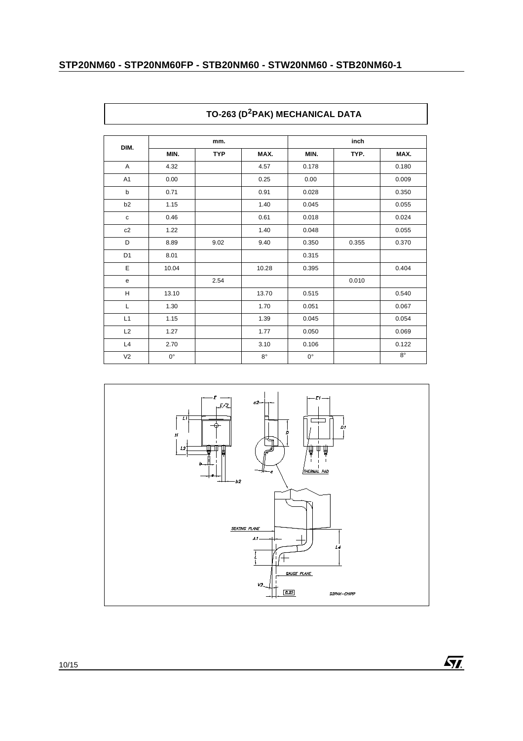| DIM.           |             | mm.        |             | inch        |       |             |
|----------------|-------------|------------|-------------|-------------|-------|-------------|
|                | MIN.        | <b>TYP</b> | MAX.        | MIN.        | TYP.  | MAX.        |
| Α              | 4.32        |            | 4.57        | 0.178       |       | 0.180       |
| A <sub>1</sub> | 0.00        |            | 0.25        | 0.00        |       | 0.009       |
| b              | 0.71        |            | 0.91        | 0.028       |       | 0.350       |
| b2             | 1.15        |            | 1.40        | 0.045       |       | 0.055       |
| $\mathbf c$    | 0.46        |            | 0.61        | 0.018       |       | 0.024       |
| c2             | 1.22        |            | 1.40        | 0.048       |       | 0.055       |
| D              | 8.89        | 9.02       | 9.40        | 0.350       | 0.355 | 0.370       |
| D <sub>1</sub> | 8.01        |            |             | 0.315       |       |             |
| E              | 10.04       |            | 10.28       | 0.395       |       | 0.404       |
| ${\bf e}$      |             | 2.54       |             |             | 0.010 |             |
| H              | 13.10       |            | 13.70       | 0.515       |       | 0.540       |
| L              | 1.30        |            | 1.70        | 0.051       |       | 0.067       |
| L1             | 1.15        |            | 1.39        | 0.045       |       | 0.054       |
| L2             | 1.27        |            | 1.77        | 0.050       |       | 0.069       |
| L4             | 2.70        |            | 3.10        | 0.106       |       | 0.122       |
| V <sub>2</sub> | $0^{\circ}$ |            | $8^{\circ}$ | $0^{\circ}$ |       | $8^{\circ}$ |



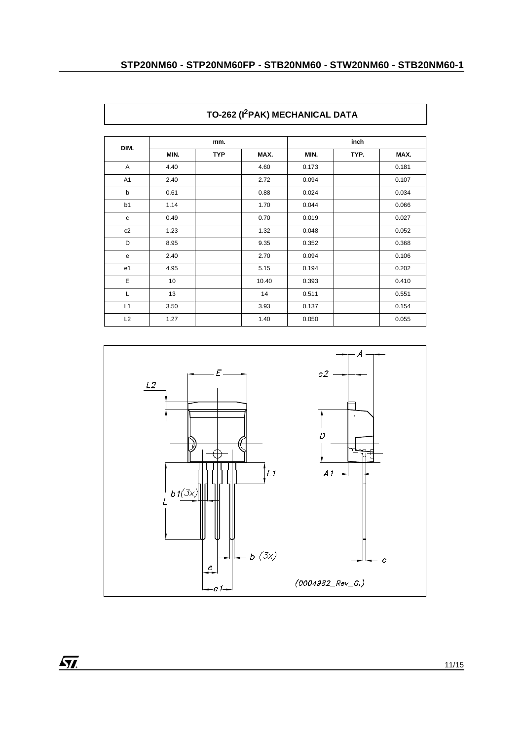|                |      | mm.        |       |       | inch |       |  |
|----------------|------|------------|-------|-------|------|-------|--|
| DIM.           | MIN. | <b>TYP</b> | MAX.  | MIN.  | TYP. | MAX.  |  |
| A              | 4.40 |            | 4.60  | 0.173 |      | 0.181 |  |
| A <sub>1</sub> | 2.40 |            | 2.72  | 0.094 |      | 0.107 |  |
| b              | 0.61 |            | 0.88  | 0.024 |      | 0.034 |  |
| b1             | 1.14 |            | 1.70  | 0.044 |      | 0.066 |  |
| $\mathbf c$    | 0.49 |            | 0.70  | 0.019 |      | 0.027 |  |
| c2             | 1.23 |            | 1.32  | 0.048 |      | 0.052 |  |
| D              | 8.95 |            | 9.35  | 0.352 |      | 0.368 |  |
| e              | 2.40 |            | 2.70  | 0.094 |      | 0.106 |  |
| e <sub>1</sub> | 4.95 |            | 5.15  | 0.194 |      | 0.202 |  |
| E              | 10   |            | 10.40 | 0.393 |      | 0.410 |  |
| L              | 13   |            | 14    | 0.511 |      | 0.551 |  |
| L1             | 3.50 |            | 3.93  | 0.137 |      | 0.154 |  |
| L2             | 1.27 |            | 1.40  | 0.050 |      | 0.055 |  |

# **TO-262 (I2PAK) MECHANICAL DATA**

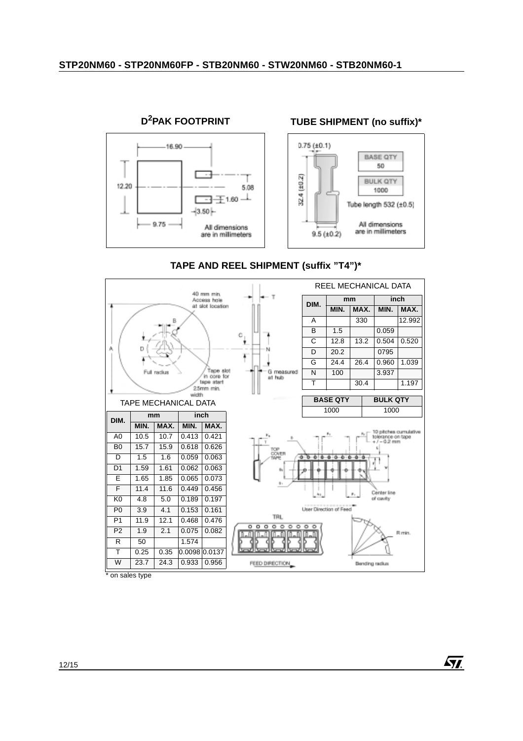

### **TAPE AND REEL SHIPMENT (suffix "T4")\***



 $\sqrt{M}$ 

on sales type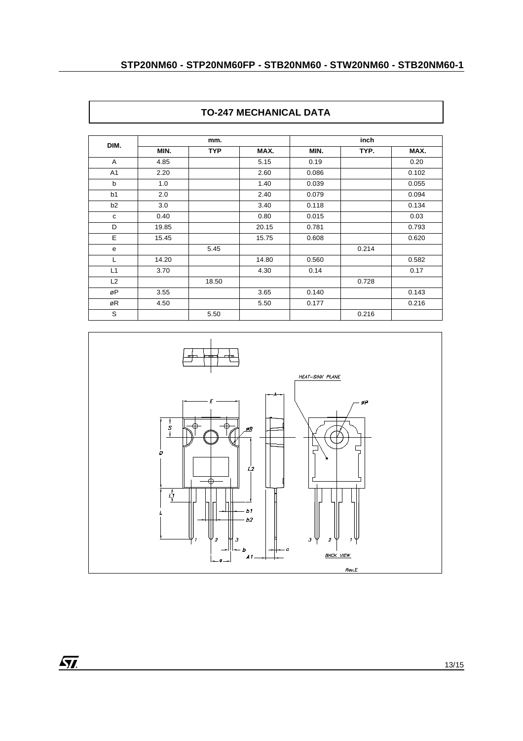|                | mm.   |            |       | inch  |       |       |
|----------------|-------|------------|-------|-------|-------|-------|
| DIM.           | MIN.  | <b>TYP</b> | MAX.  | MIN.  | TYP.  | MAX.  |
| A              | 4.85  |            | 5.15  | 0.19  |       | 0.20  |
| A1             | 2.20  |            | 2.60  | 0.086 |       | 0.102 |
| $\mathsf{b}$   | 1.0   |            | 1.40  | 0.039 |       | 0.055 |
| b1             | 2.0   |            | 2.40  | 0.079 |       | 0.094 |
| b <sub>2</sub> | 3.0   |            | 3.40  | 0.118 |       | 0.134 |
| C              | 0.40  |            | 0.80  | 0.015 |       | 0.03  |
| D              | 19.85 |            | 20.15 | 0.781 |       | 0.793 |
| E              | 15.45 |            | 15.75 | 0.608 |       | 0.620 |
| e              |       | 5.45       |       |       | 0.214 |       |
| L              | 14.20 |            | 14.80 | 0.560 |       | 0.582 |
| L1             | 3.70  |            | 4.30  | 0.14  |       | 0.17  |
| L2             |       | 18.50      |       |       | 0.728 |       |
| øP             | 3.55  |            | 3.65  | 0.140 |       | 0.143 |
| øR             | 4.50  |            | 5.50  | 0.177 |       | 0.216 |
| S              |       | 5.50       |       |       | 0.216 |       |



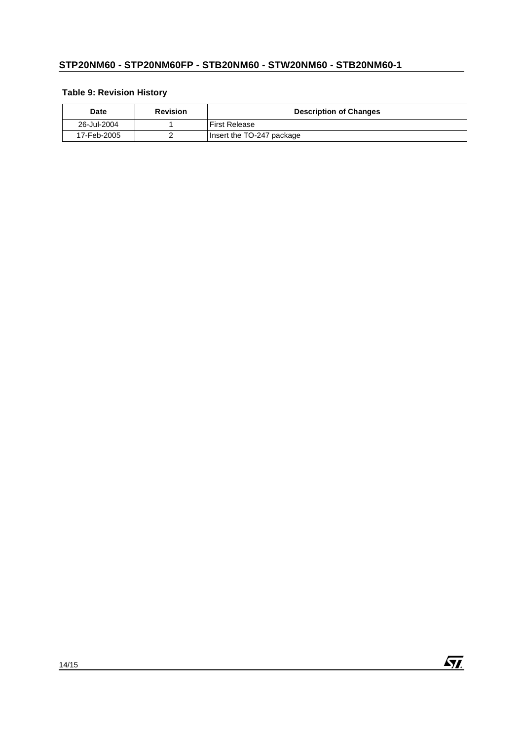### **Table 9: Revision History**

| Date        | <b>Revision</b> | <b>Description of Changes</b> |
|-------------|-----------------|-------------------------------|
| 26-Jul-2004 |                 | <b>First Release</b>          |
| 17-Feb-2005 |                 | Insert the TO-247 package     |